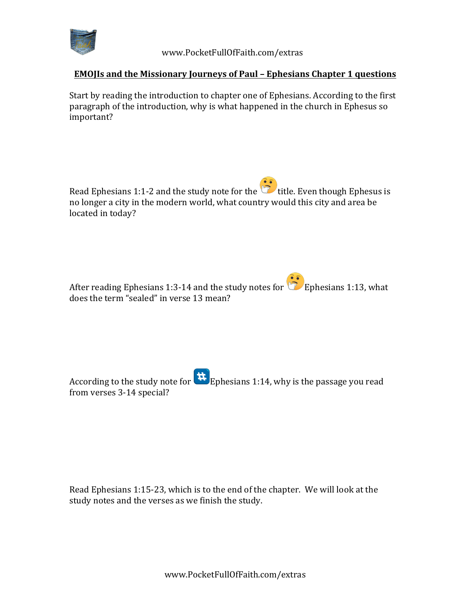

 www.PocketFullOfFaith.com/extras

## **EMOJIs** and the Missionary Journeys of Paul – Ephesians Chapter 1 questions

Start by reading the introduction to chapter one of Ephesians. According to the first paragraph of the introduction, why is what happened in the church in Ephesus so important?

Read Ephesians 1:1-2 and the study note for the **the little**. Even though Ephesus is no longer a city in the modern world, what country would this city and area be located in today?

After reading Ephesians 1:3-14 and the study notes for **Ephesians 1:13**, what does the term "sealed" in verse 13 mean?

According to the study note for  $\mathbf{H}$  Ephesians 1:14, why is the passage you read from verses 3-14 special?

Read Ephesians 1:15-23, which is to the end of the chapter. We will look at the study notes and the verses as we finish the study.